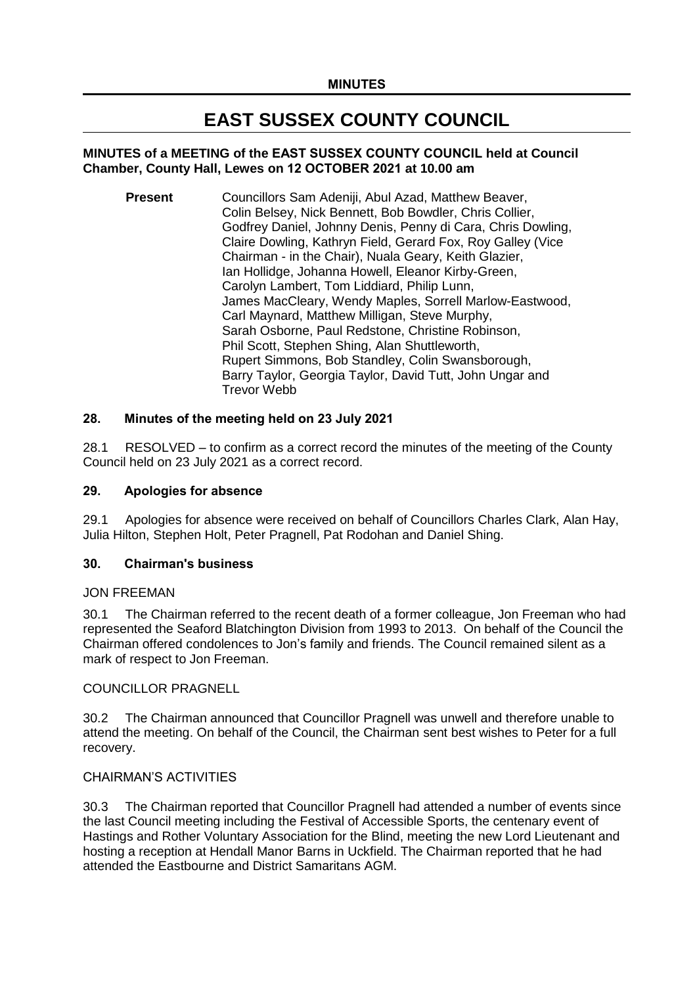# **EAST SUSSEX COUNTY COUNCIL**

### **MINUTES of a MEETING of the EAST SUSSEX COUNTY COUNCIL held at Council Chamber, County Hall, Lewes on 12 OCTOBER 2021 at 10.00 am**

**Present** Councillors Sam Adeniii, Abul Azad, Matthew Beaver, Colin Belsey, Nick Bennett, Bob Bowdler, Chris Collier, Godfrey Daniel, Johnny Denis, Penny di Cara, Chris Dowling, Claire Dowling, Kathryn Field, Gerard Fox, Roy Galley (Vice Chairman - in the Chair), Nuala Geary, Keith Glazier, Ian Hollidge, Johanna Howell, Eleanor Kirby-Green, Carolyn Lambert, Tom Liddiard, Philip Lunn, James MacCleary, Wendy Maples, Sorrell Marlow-Eastwood, Carl Maynard, Matthew Milligan, Steve Murphy, Sarah Osborne, Paul Redstone, Christine Robinson, Phil Scott, Stephen Shing, Alan Shuttleworth, Rupert Simmons, Bob Standley, Colin Swansborough, Barry Taylor, Georgia Taylor, David Tutt, John Ungar and Trevor Webb

### **28. Minutes of the meeting held on 23 July 2021**

28.1 RESOLVED – to confirm as a correct record the minutes of the meeting of the County Council held on 23 July 2021 as a correct record.

#### **29. Apologies for absence**

29.1 Apologies for absence were received on behalf of Councillors Charles Clark, Alan Hay, Julia Hilton, Stephen Holt, Peter Pragnell, Pat Rodohan and Daniel Shing.

#### **30. Chairman's business**

#### JON FREEMAN

30.1 The Chairman referred to the recent death of a former colleague, Jon Freeman who had represented the Seaford Blatchington Division from 1993 to 2013. On behalf of the Council the Chairman offered condolences to Jon's family and friends. The Council remained silent as a mark of respect to Jon Freeman.

#### COUNCILLOR PRAGNELL

30.2 The Chairman announced that Councillor Pragnell was unwell and therefore unable to attend the meeting. On behalf of the Council, the Chairman sent best wishes to Peter for a full recovery.

#### CHAIRMAN'S ACTIVITIES

30.3 The Chairman reported that Councillor Pragnell had attended a number of events since the last Council meeting including the Festival of Accessible Sports, the centenary event of Hastings and Rother Voluntary Association for the Blind, meeting the new Lord Lieutenant and hosting a reception at Hendall Manor Barns in Uckfield. The Chairman reported that he had attended the Eastbourne and District Samaritans AGM.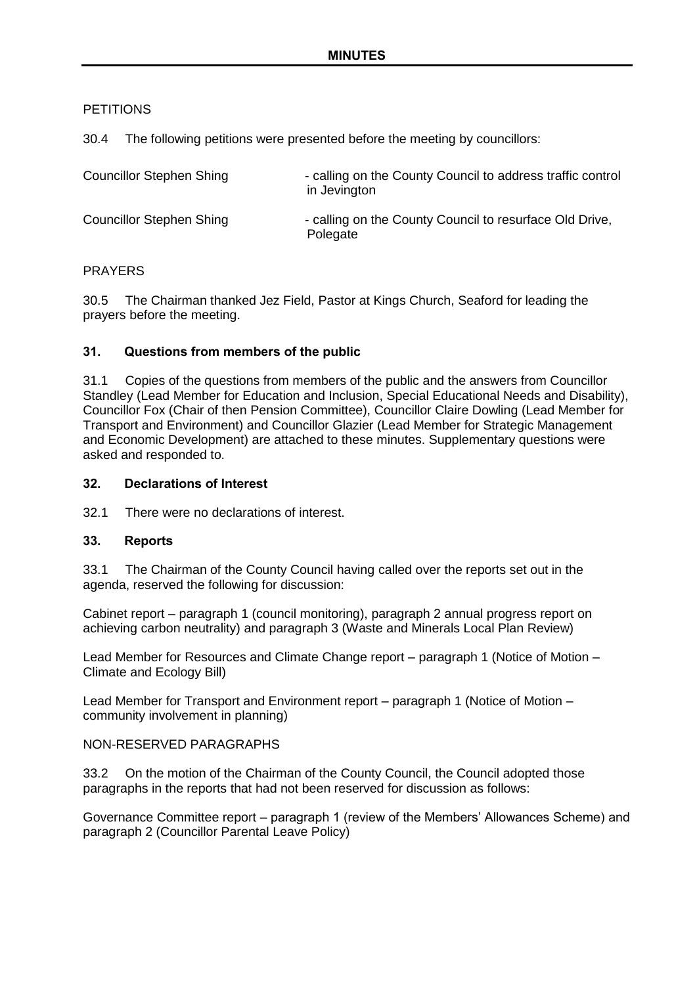### **PETITIONS**

30.4 The following petitions were presented before the meeting by councillors:

| <b>Councillor Stephen Shing</b> | - calling on the County Council to address traffic control<br>in Jevington |
|---------------------------------|----------------------------------------------------------------------------|
| <b>Councillor Stephen Shing</b> | - calling on the County Council to resurface Old Drive,<br>Polegate        |

### PRAYERS

30.5 The Chairman thanked Jez Field, Pastor at Kings Church, Seaford for leading the prayers before the meeting.

### **31. Questions from members of the public**

31.1 Copies of the questions from members of the public and the answers from Councillor Standley (Lead Member for Education and Inclusion, Special Educational Needs and Disability), Councillor Fox (Chair of then Pension Committee), Councillor Claire Dowling (Lead Member for Transport and Environment) and Councillor Glazier (Lead Member for Strategic Management and Economic Development) are attached to these minutes. Supplementary questions were asked and responded to.

### **32. Declarations of Interest**

32.1 There were no declarations of interest.

### **33. Reports**

33.1 The Chairman of the County Council having called over the reports set out in the agenda, reserved the following for discussion:

Cabinet report – paragraph 1 (council monitoring), paragraph 2 annual progress report on achieving carbon neutrality) and paragraph 3 (Waste and Minerals Local Plan Review)

Lead Member for Resources and Climate Change report – paragraph 1 (Notice of Motion – Climate and Ecology Bill)

Lead Member for Transport and Environment report – paragraph 1 (Notice of Motion – community involvement in planning)

### NON-RESERVED PARAGRAPHS

33.2 On the motion of the Chairman of the County Council, the Council adopted those paragraphs in the reports that had not been reserved for discussion as follows:

Governance Committee report – paragraph 1 (review of the Members' Allowances Scheme) and paragraph 2 (Councillor Parental Leave Policy)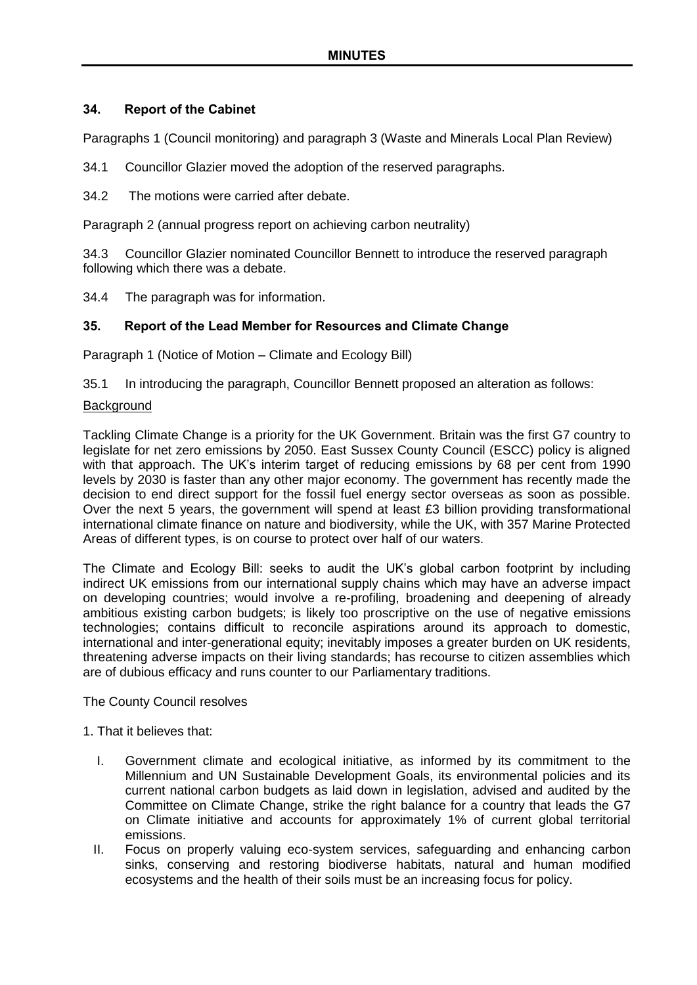### **34. Report of the Cabinet**

Paragraphs 1 (Council monitoring) and paragraph 3 (Waste and Minerals Local Plan Review)

- 34.1 Councillor Glazier moved the adoption of the reserved paragraphs.
- 34.2 The motions were carried after debate.

Paragraph 2 (annual progress report on achieving carbon neutrality)

34.3 Councillor Glazier nominated Councillor Bennett to introduce the reserved paragraph following which there was a debate.

34.4 The paragraph was for information.

### **35. Report of the Lead Member for Resources and Climate Change**

Paragraph 1 (Notice of Motion – Climate and Ecology Bill)

35.1 In introducing the paragraph, Councillor Bennett proposed an alteration as follows:

#### **Background**

Tackling Climate Change is a priority for the UK Government. Britain was the first G7 country to legislate for net zero emissions by 2050. East Sussex County Council (ESCC) policy is aligned with that approach. The UK's interim target of reducing emissions by 68 per cent from 1990 levels by 2030 is faster than any other major economy. The government has recently made the decision to end direct support for the fossil fuel energy sector overseas as soon as possible. Over the next 5 years, the government will spend at least £3 billion providing transformational international climate finance on nature and biodiversity, while the UK, with 357 Marine Protected Areas of different types, is on course to protect over half of our waters.

The Climate and Ecology Bill: seeks to audit the UK's global carbon footprint by including indirect UK emissions from our international supply chains which may have an adverse impact on developing countries; would involve a re-profiling, broadening and deepening of already ambitious existing carbon budgets; is likely too proscriptive on the use of negative emissions technologies; contains difficult to reconcile aspirations around its approach to domestic, international and inter-generational equity; inevitably imposes a greater burden on UK residents, threatening adverse impacts on their living standards; has recourse to citizen assemblies which are of dubious efficacy and runs counter to our Parliamentary traditions.

### The County Council resolves

#### 1. That it believes that:

- I. Government climate and ecological initiative, as informed by its commitment to the Millennium and UN Sustainable Development Goals, its environmental policies and its current national carbon budgets as laid down in legislation, advised and audited by the Committee on Climate Change, strike the right balance for a country that leads the G7 on Climate initiative and accounts for approximately 1% of current global territorial emissions.
- II. Focus on properly valuing eco-system services, safeguarding and enhancing carbon sinks, conserving and restoring biodiverse habitats, natural and human modified ecosystems and the health of their soils must be an increasing focus for policy.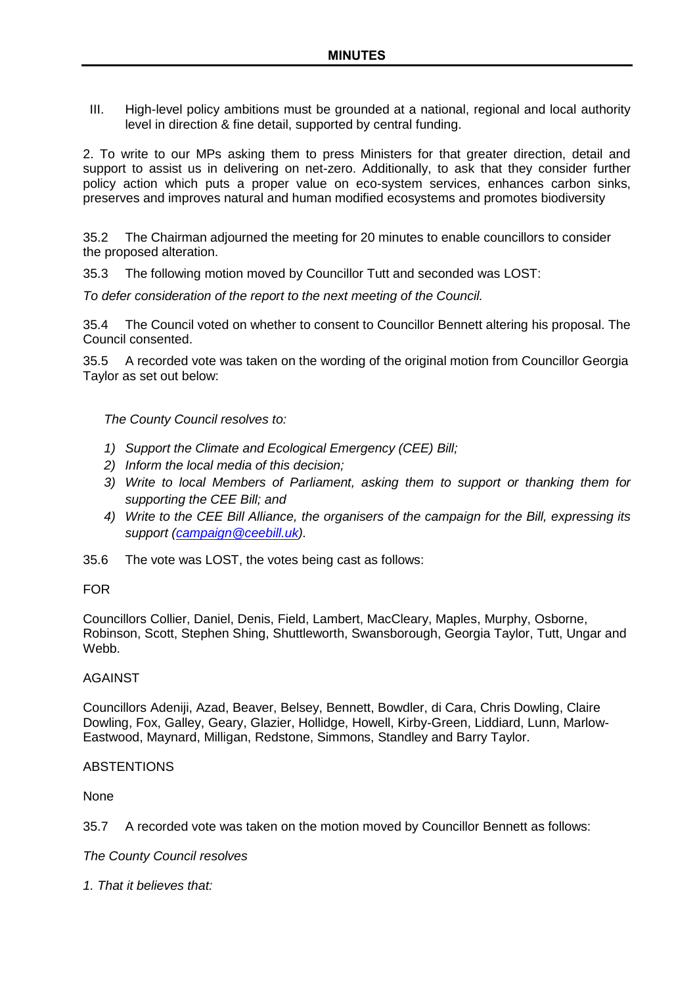III. High-level policy ambitions must be grounded at a national, regional and local authority level in direction & fine detail, supported by central funding.

2. To write to our MPs asking them to press Ministers for that greater direction, detail and support to assist us in delivering on net-zero. Additionally, to ask that they consider further policy action which puts a proper value on eco-system services, enhances carbon sinks, preserves and improves natural and human modified ecosystems and promotes biodiversity

35.2 The Chairman adjourned the meeting for 20 minutes to enable councillors to consider the proposed alteration.

35.3 The following motion moved by Councillor Tutt and seconded was LOST:

*To defer consideration of the report to the next meeting of the Council.*

35.4 The Council voted on whether to consent to Councillor Bennett altering his proposal. The Council consented.

35.5 A recorded vote was taken on the wording of the original motion from Councillor Georgia Taylor as set out below:

*The County Council resolves to:*

- *1) Support the Climate and Ecological Emergency (CEE) Bill;*
- *2) Inform the local media of this decision;*
- *3) Write to local Members of Parliament, asking them to support or thanking them for supporting the CEE Bill; and*
- *4) Write to the [CEE Bill Alliance,](http://www.ceebill.uk/) the organisers of the campaign for the Bill, expressing its support [\(campaign@ceebill.uk\)](mailto:campaign@ceebill.uk).*
- 35.6 The vote was LOST, the votes being cast as follows:

#### FOR

Councillors Collier, Daniel, Denis, Field, Lambert, MacCleary, Maples, Murphy, Osborne, Robinson, Scott, Stephen Shing, Shuttleworth, Swansborough, Georgia Taylor, Tutt, Ungar and Webb.

#### AGAINST

Councillors Adeniji, Azad, Beaver, Belsey, Bennett, Bowdler, di Cara, Chris Dowling, Claire Dowling, Fox, Galley, Geary, Glazier, Hollidge, Howell, Kirby-Green, Liddiard, Lunn, Marlow-Eastwood, Maynard, Milligan, Redstone, Simmons, Standley and Barry Taylor.

### ABSTENTIONS

None

35.7 A recorded vote was taken on the motion moved by Councillor Bennett as follows:

*The County Council resolves*

*1. That it believes that:*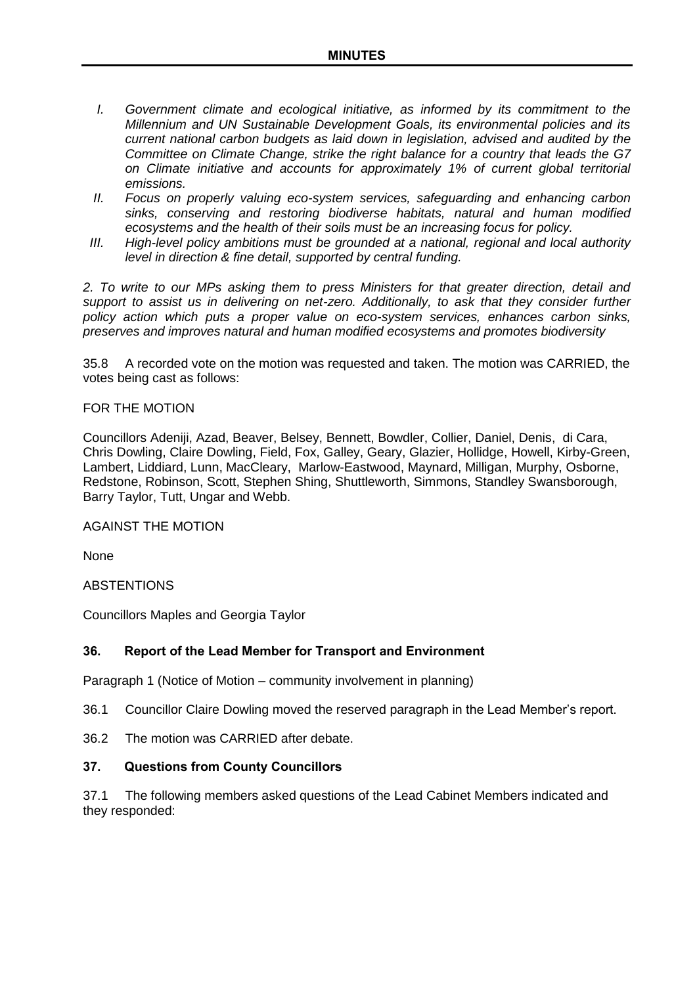- *I. Government climate and ecological initiative, as informed by its commitment to the Millennium and UN Sustainable Development Goals, its environmental policies and its current national carbon budgets as laid down in legislation, advised and audited by the Committee on Climate Change, strike the right balance for a country that leads the G7 on Climate initiative and accounts for approximately 1% of current global territorial emissions.*
- *II. Focus on properly valuing eco-system services, safeguarding and enhancing carbon sinks, conserving and restoring biodiverse habitats, natural and human modified ecosystems and the health of their soils must be an increasing focus for policy.*
- *III.* High-level policy ambitions must be grounded at a national, regional and local authority *level in direction & fine detail, supported by central funding.*

*2. To write to our MPs asking them to press Ministers for that greater direction, detail and support to assist us in delivering on net-zero. Additionally, to ask that they consider further policy action which puts a proper value on eco-system services, enhances carbon sinks, preserves and improves natural and human modified ecosystems and promotes biodiversity*

35.8 A recorded vote on the motion was requested and taken. The motion was CARRIED, the votes being cast as follows:

#### FOR THE MOTION

Councillors Adeniji, Azad, Beaver, Belsey, Bennett, Bowdler, Collier, Daniel, Denis, di Cara, Chris Dowling, Claire Dowling, Field, Fox, Galley, Geary, Glazier, Hollidge, Howell, Kirby-Green, Lambert, Liddiard, Lunn, MacCleary, Marlow-Eastwood, Maynard, Milligan, Murphy, Osborne, Redstone, Robinson, Scott, Stephen Shing, Shuttleworth, Simmons, Standley Swansborough, Barry Taylor, Tutt, Ungar and Webb.

### AGAINST THE MOTION

**None** 

**ABSTENTIONS** 

Councillors Maples and Georgia Taylor

### **36. Report of the Lead Member for Transport and Environment**

Paragraph 1 (Notice of Motion – community involvement in planning)

36.1 Councillor Claire Dowling moved the reserved paragraph in the Lead Member's report.

36.2 The motion was CARRIED after debate.

#### **37. Questions from County Councillors**

37.1 The following members asked questions of the Lead Cabinet Members indicated and they responded: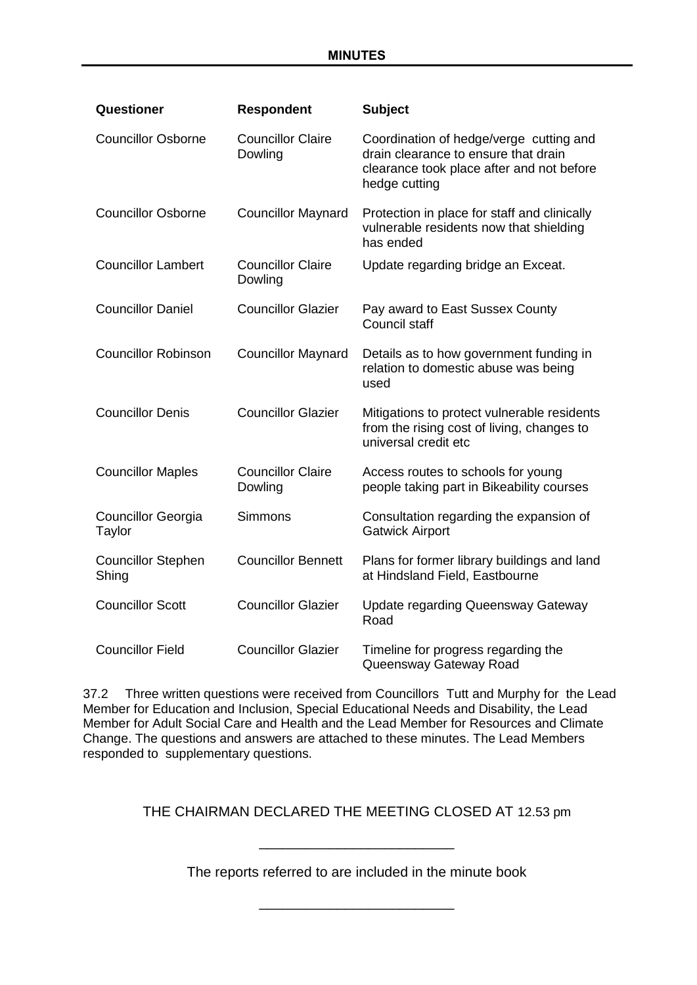| Questioner                          | <b>Respondent</b>                   | <b>Subject</b>                                                                                                                                |
|-------------------------------------|-------------------------------------|-----------------------------------------------------------------------------------------------------------------------------------------------|
| <b>Councillor Osborne</b>           | <b>Councillor Claire</b><br>Dowling | Coordination of hedge/verge cutting and<br>drain clearance to ensure that drain<br>clearance took place after and not before<br>hedge cutting |
| <b>Councillor Osborne</b>           | <b>Councillor Maynard</b>           | Protection in place for staff and clinically<br>vulnerable residents now that shielding<br>has ended                                          |
| <b>Councillor Lambert</b>           | <b>Councillor Claire</b><br>Dowling | Update regarding bridge an Exceat.                                                                                                            |
| <b>Councillor Daniel</b>            | <b>Councillor Glazier</b>           | Pay award to East Sussex County<br>Council staff                                                                                              |
| <b>Councillor Robinson</b>          | <b>Councillor Maynard</b>           | Details as to how government funding in<br>relation to domestic abuse was being<br>used                                                       |
| <b>Councillor Denis</b>             | <b>Councillor Glazier</b>           | Mitigations to protect vulnerable residents<br>from the rising cost of living, changes to<br>universal credit etc                             |
| <b>Councillor Maples</b>            | <b>Councillor Claire</b><br>Dowling | Access routes to schools for young<br>people taking part in Bikeability courses                                                               |
| <b>Councillor Georgia</b><br>Taylor | <b>Simmons</b>                      | Consultation regarding the expansion of<br><b>Gatwick Airport</b>                                                                             |
| <b>Councillor Stephen</b><br>Shing  | <b>Councillor Bennett</b>           | Plans for former library buildings and land<br>at Hindsland Field, Eastbourne                                                                 |
| <b>Councillor Scott</b>             | <b>Councillor Glazier</b>           | <b>Update regarding Queensway Gateway</b><br>Road                                                                                             |
| <b>Councillor Field</b>             | <b>Councillor Glazier</b>           | Timeline for progress regarding the<br>Queensway Gateway Road                                                                                 |

37.2 Three written questions were received from Councillors Tutt and Murphy for the Lead Member for Education and Inclusion, Special Educational Needs and Disability, the Lead Member for Adult Social Care and Health and the Lead Member for Resources and Climate Change. The questions and answers are attached to these minutes. The Lead Members responded to supplementary questions.

THE CHAIRMAN DECLARED THE MEETING CLOSED AT 12.53 pm

The reports referred to are included in the minute book

\_\_\_\_\_\_\_\_\_\_\_\_\_\_\_\_\_\_\_\_\_\_\_\_\_

\_\_\_\_\_\_\_\_\_\_\_\_\_\_\_\_\_\_\_\_\_\_\_\_\_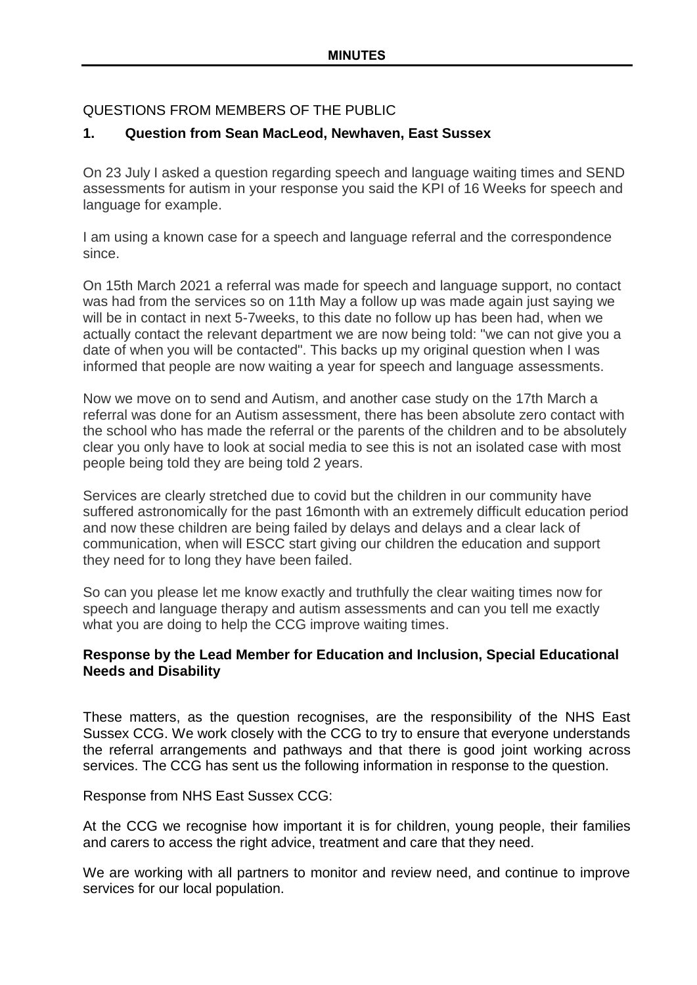# QUESTIONS FROM MEMBERS OF THE PUBLIC

# **1. Question from Sean MacLeod, Newhaven, East Sussex**

On 23 July I asked a question regarding speech and language waiting times and SEND assessments for autism in your response you said the KPI of 16 Weeks for speech and language for example.

I am using a known case for a speech and language referral and the correspondence since.

On 15th March 2021 a referral was made for speech and language support, no contact was had from the services so on 11th May a follow up was made again just saying we will be in contact in next 5-7weeks, to this date no follow up has been had, when we actually contact the relevant department we are now being told: "we can not give you a date of when you will be contacted". This backs up my original question when I was informed that people are now waiting a year for speech and language assessments.

Now we move on to send and Autism, and another case study on the 17th March a referral was done for an Autism assessment, there has been absolute zero contact with the school who has made the referral or the parents of the children and to be absolutely clear you only have to look at social media to see this is not an isolated case with most people being told they are being told 2 years.

Services are clearly stretched due to covid but the children in our community have suffered astronomically for the past 16month with an extremely difficult education period and now these children are being failed by delays and delays and a clear lack of communication, when will ESCC start giving our children the education and support they need for to long they have been failed.

So can you please let me know exactly and truthfully the clear waiting times now for speech and language therapy and autism assessments and can you tell me exactly what you are doing to help the CCG improve waiting times.

## **Response by the Lead Member for Education and Inclusion, Special Educational Needs and Disability**

These matters, as the question recognises, are the responsibility of the NHS East Sussex CCG. We work closely with the CCG to try to ensure that everyone understands the referral arrangements and pathways and that there is good joint working across services. The CCG has sent us the following information in response to the question.

Response from NHS East Sussex CCG:

At the CCG we recognise how important it is for children, young people, their families and carers to access the right advice, treatment and care that they need.

We are working with all partners to monitor and review need, and continue to improve services for our local population.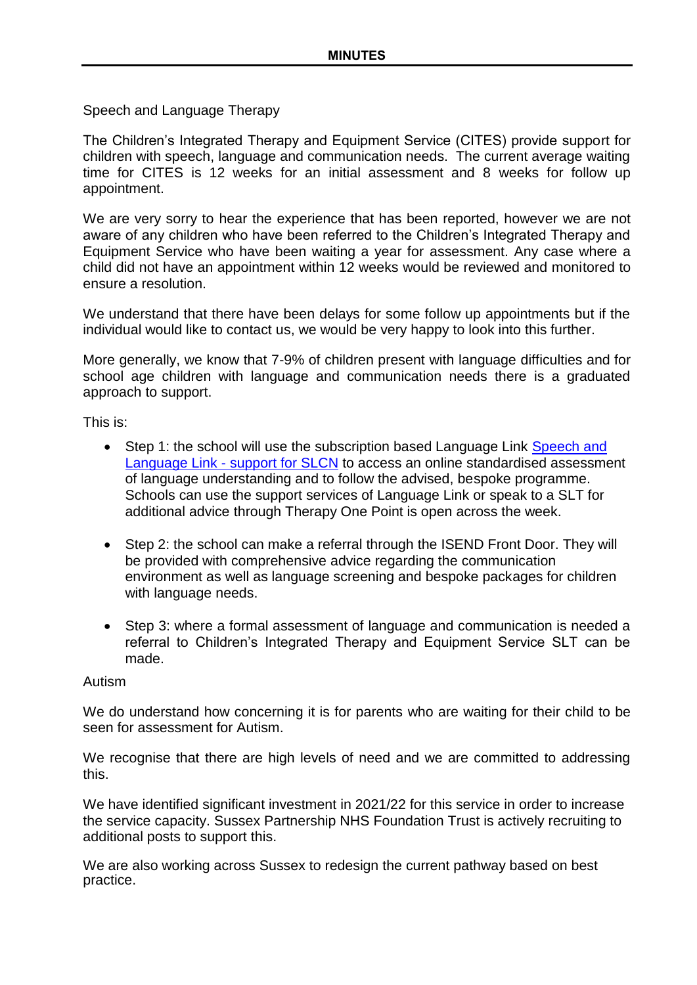Speech and Language Therapy

The Children's Integrated Therapy and Equipment Service (CITES) provide support for children with speech, language and communication needs. The current average waiting time for CITES is 12 weeks for an initial assessment and 8 weeks for follow up appointment.

We are very sorry to hear the experience that has been reported, however we are not aware of any children who have been referred to the Children's Integrated Therapy and Equipment Service who have been waiting a year for assessment. Any case where a child did not have an appointment within 12 weeks would be reviewed and monitored to ensure a resolution.

We understand that there have been delays for some follow up appointments but if the individual would like to contact us, we would be very happy to look into this further.

More generally, we know that 7-9% of children present with language difficulties and for school age children with language and communication needs there is a graduated approach to support.

This is:

- Step 1: the school will use the subscription based Language Link Speech and Language Link - [support for SLCN](https://speechandlanguage.info/) to access an online standardised assessment of language understanding and to follow the advised, bespoke programme. Schools can use the support services of Language Link or speak to a SLT for additional advice through Therapy One Point is open across the week.
- Step 2: the school can make a referral through the ISEND Front Door. They will be provided with comprehensive advice regarding the communication environment as well as language screening and bespoke packages for children with language needs.
- Step 3: where a formal assessment of language and communication is needed a referral to Children's Integrated Therapy and Equipment Service SLT can be made.

### Autism

We do understand how concerning it is for parents who are waiting for their child to be seen for assessment for Autism.

We recognise that there are high levels of need and we are committed to addressing this.

We have identified significant investment in 2021/22 for this service in order to increase the service capacity. Sussex Partnership NHS Foundation Trust is actively recruiting to additional posts to support this.

We are also working across Sussex to redesign the current pathway based on best practice.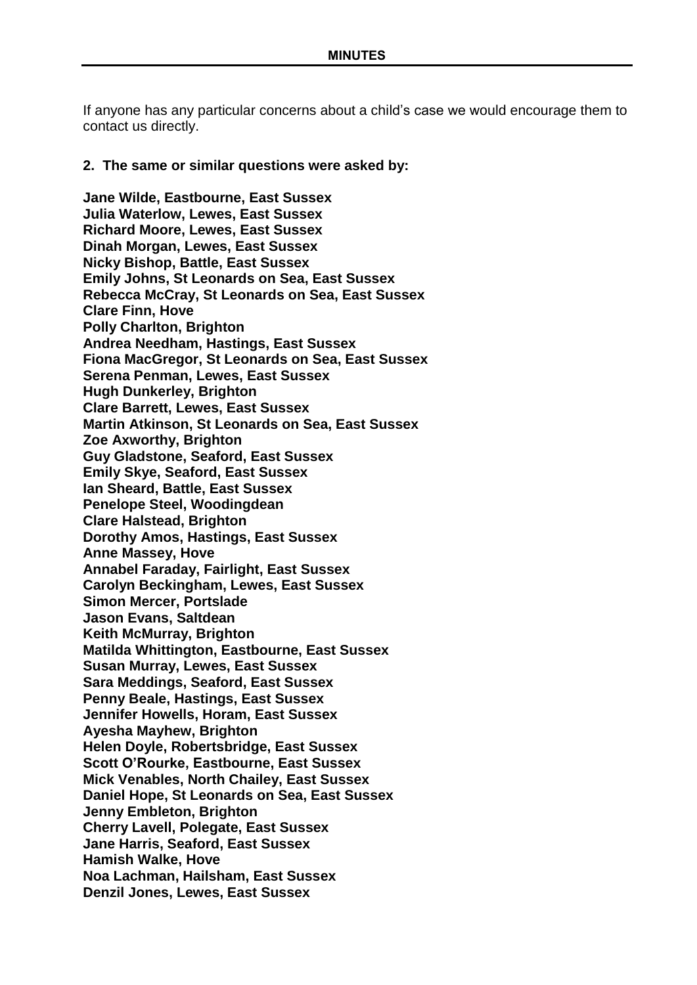If anyone has any particular concerns about a child's case we would encourage them to contact us directly.

#### **2. The same or similar questions were asked by:**

**Jane Wilde, Eastbourne, East Sussex Julia Waterlow, Lewes, East Sussex Richard Moore, Lewes, East Sussex Dinah Morgan, Lewes, East Sussex Nicky Bishop, Battle, East Sussex Emily Johns, St Leonards on Sea, East Sussex Rebecca McCray, St Leonards on Sea, East Sussex Clare Finn, Hove Polly Charlton, Brighton Andrea Needham, Hastings, East Sussex Fiona MacGregor, St Leonards on Sea, East Sussex Serena Penman, Lewes, East Sussex Hugh Dunkerley, Brighton Clare Barrett, Lewes, East Sussex Martin Atkinson, St Leonards on Sea, East Sussex Zoe Axworthy, Brighton Guy Gladstone, Seaford, East Sussex Emily Skye, Seaford, East Sussex Ian Sheard, Battle, East Sussex Penelope Steel, Woodingdean Clare Halstead, Brighton Dorothy Amos, Hastings, East Sussex Anne Massey, Hove Annabel Faraday, Fairlight, East Sussex Carolyn Beckingham, Lewes, East Sussex Simon Mercer, Portslade Jason Evans, Saltdean Keith McMurray, Brighton Matilda Whittington, Eastbourne, East Sussex Susan Murray, Lewes, East Sussex Sara Meddings, Seaford, East Sussex Penny Beale, Hastings, East Sussex Jennifer Howells, Horam, East Sussex Ayesha Mayhew, Brighton Helen Doyle, Robertsbridge, East Sussex Scott O'Rourke, Eastbourne, East Sussex Mick Venables, North Chailey, East Sussex Daniel Hope, St Leonards on Sea, East Sussex Jenny Embleton, Brighton Cherry Lavell, Polegate, East Sussex Jane Harris, Seaford, East Sussex Hamish Walke, Hove Noa Lachman, Hailsham, East Sussex Denzil Jones, Lewes, East Sussex**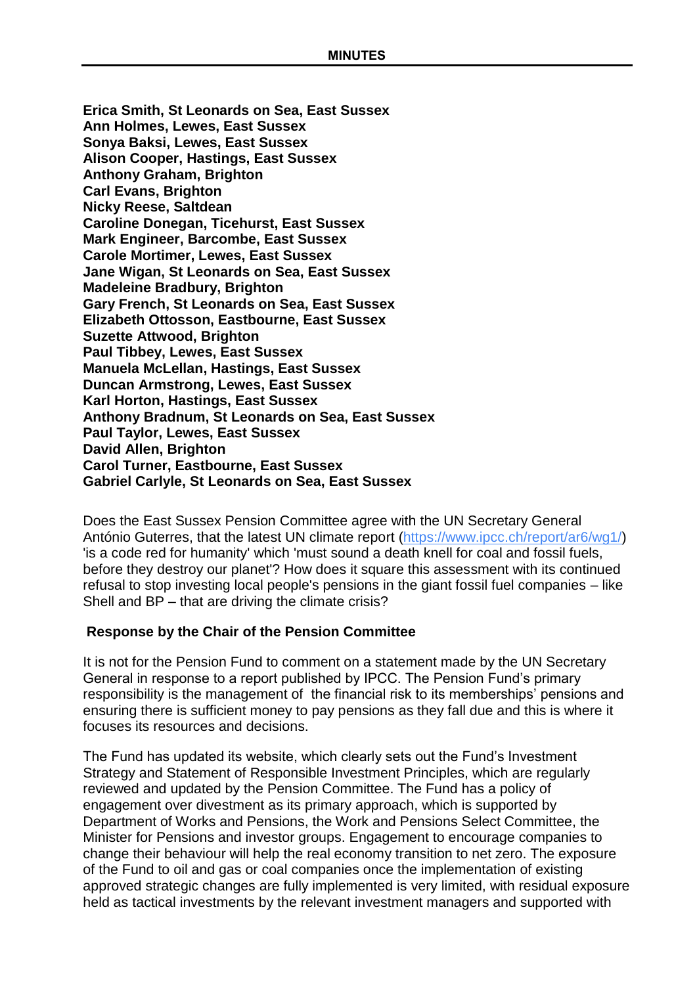**Erica Smith, St Leonards on Sea, East Sussex Ann Holmes, Lewes, East Sussex Sonya Baksi, Lewes, East Sussex Alison Cooper, Hastings, East Sussex Anthony Graham, Brighton Carl Evans, Brighton Nicky Reese, Saltdean Caroline Donegan, Ticehurst, East Sussex Mark Engineer, Barcombe, East Sussex Carole Mortimer, Lewes, East Sussex Jane Wigan, St Leonards on Sea, East Sussex Madeleine Bradbury, Brighton Gary French, St Leonards on Sea, East Sussex Elizabeth Ottosson, Eastbourne, East Sussex Suzette Attwood, Brighton Paul Tibbey, Lewes, East Sussex Manuela McLellan, Hastings, East Sussex Duncan Armstrong, Lewes, East Sussex Karl Horton, Hastings, East Sussex Anthony Bradnum, St Leonards on Sea, East Sussex Paul Taylor, Lewes, East Sussex David Allen, Brighton Carol Turner, Eastbourne, East Sussex Gabriel Carlyle, St Leonards on Sea, East Sussex**

Does the East Sussex Pension Committee agree with the UN Secretary General António Guterres, that the latest UN climate report [\(https://www.ipcc.ch/report/ar6/wg1/\)](https://www.ipcc.ch/report/ar6/wg1/) 'is a code red for humanity' which 'must sound a death knell for coal and fossil fuels, before they destroy our planet'? How does it square this assessment with its continued refusal to stop investing local people's pensions in the giant fossil fuel companies – like Shell and BP – that are driving the climate crisis?

## **Response by the Chair of the Pension Committee**

It is not for the Pension Fund to comment on a statement made by the UN Secretary General in response to a report published by IPCC. The Pension Fund's primary responsibility is the management of the financial risk to its memberships' pensions and ensuring there is sufficient money to pay pensions as they fall due and this is where it focuses its resources and decisions.

The Fund has updated its website, which clearly sets out the Fund's Investment Strategy and Statement of Responsible Investment Principles, which are regularly reviewed and updated by the Pension Committee. The Fund has a policy of engagement over divestment as its primary approach, which is supported by Department of Works and Pensions, the Work and Pensions Select Committee, the Minister for Pensions and investor groups. Engagement to encourage companies to change their behaviour will help the real economy transition to net zero. The exposure of the Fund to oil and gas or coal companies once the implementation of existing approved strategic changes are fully implemented is very limited, with residual exposure held as tactical investments by the relevant investment managers and supported with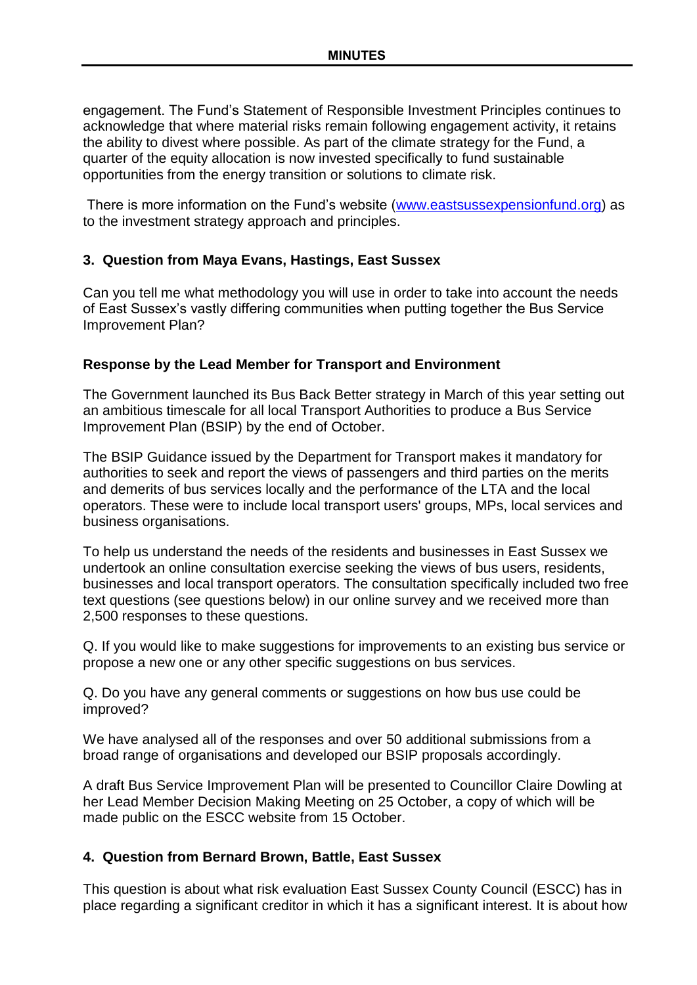engagement. The Fund's Statement of Responsible Investment Principles continues to acknowledge that where material risks remain following engagement activity, it retains the ability to divest where possible. As part of the climate strategy for the Fund, a quarter of the equity allocation is now invested specifically to fund sustainable opportunities from the energy transition or solutions to climate risk.

There is more information on the Fund's website [\(www.eastsussexpensionfund.org\)](http://www.eastsussexpensionfund.org/) as to the investment strategy approach and principles.

## **3. Question from Maya Evans, Hastings, East Sussex**

Can you tell me what methodology you will use in order to take into account the needs of East Sussex's vastly differing communities when putting together the Bus Service Improvement Plan?

### **Response by the Lead Member for Transport and Environment**

The Government launched its Bus Back Better strategy in March of this year setting out an ambitious timescale for all local Transport Authorities to produce a Bus Service Improvement Plan (BSIP) by the end of October.

The BSIP Guidance issued by the Department for Transport makes it mandatory for authorities to seek and report the views of passengers and third parties on the merits and demerits of bus services locally and the performance of the LTA and the local operators. These were to include local transport users' groups, MPs, local services and business organisations.

To help us understand the needs of the residents and businesses in East Sussex we undertook an online consultation exercise seeking the views of bus users, residents, businesses and local transport operators. The consultation specifically included two free text questions (see questions below) in our online survey and we received more than 2,500 responses to these questions.

Q. If you would like to make suggestions for improvements to an existing bus service or propose a new one or any other specific suggestions on bus services.

Q. Do you have any general comments or suggestions on how bus use could be improved?

We have analysed all of the responses and over 50 additional submissions from a broad range of organisations and developed our BSIP proposals accordingly.

A draft Bus Service Improvement Plan will be presented to Councillor Claire Dowling at her Lead Member Decision Making Meeting on 25 October, a copy of which will be made public on the ESCC website from 15 October.

## **4. Question from Bernard Brown, Battle, East Sussex**

This question is about what risk evaluation East Sussex County Council (ESCC) has in place regarding a significant creditor in which it has a significant interest. It is about how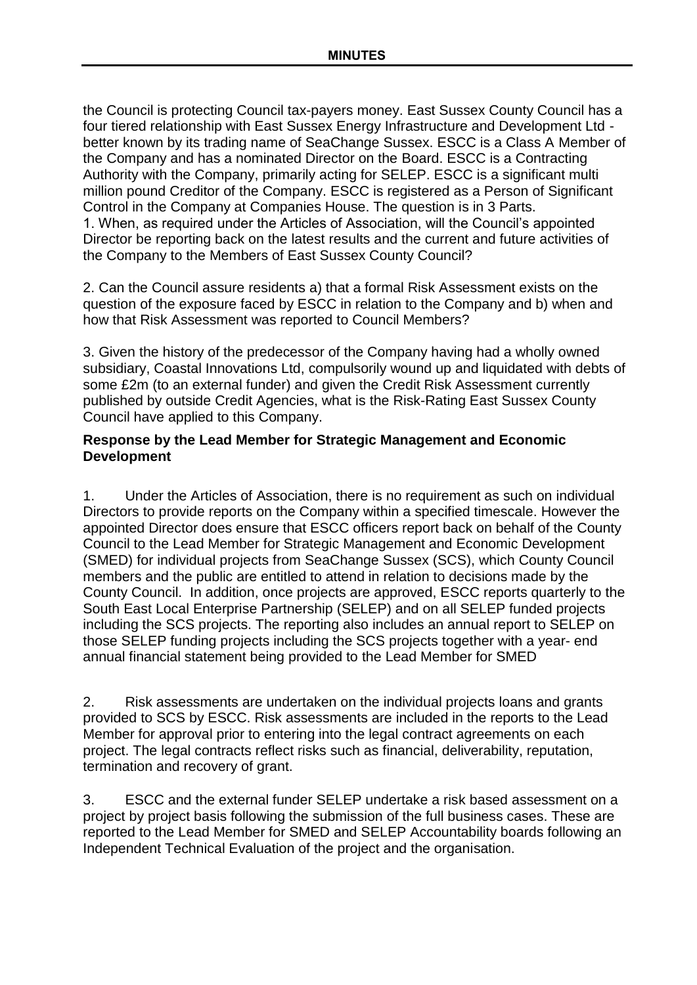the Council is protecting Council tax-payers money. East Sussex County Council has a four tiered relationship with East Sussex Energy Infrastructure and Development Ltd better known by its trading name of SeaChange Sussex. ESCC is a Class A Member of the Company and has a nominated Director on the Board. ESCC is a Contracting Authority with the Company, primarily acting for SELEP. ESCC is a significant multi million pound Creditor of the Company. ESCC is registered as a Person of Significant Control in the Company at Companies House. The question is in 3 Parts. 1. When, as required under the Articles of Association, will the Council's appointed Director be reporting back on the latest results and the current and future activities of the Company to the Members of East Sussex County Council?

2. Can the Council assure residents a) that a formal Risk Assessment exists on the question of the exposure faced by ESCC in relation to the Company and b) when and how that Risk Assessment was reported to Council Members?

3. Given the history of the predecessor of the Company having had a wholly owned subsidiary, Coastal Innovations Ltd, compulsorily wound up and liquidated with debts of some £2m (to an external funder) and given the Credit Risk Assessment currently published by outside Credit Agencies, what is the Risk-Rating East Sussex County Council have applied to this Company.

## **Response by the Lead Member for Strategic Management and Economic Development**

1. Under the Articles of Association, there is no requirement as such on individual Directors to provide reports on the Company within a specified timescale. However the appointed Director does ensure that ESCC officers report back on behalf of the County Council to the Lead Member for Strategic Management and Economic Development (SMED) for individual projects from SeaChange Sussex (SCS), which County Council members and the public are entitled to attend in relation to decisions made by the County Council. In addition, once projects are approved, ESCC reports quarterly to the South East Local Enterprise Partnership (SELEP) and on all SELEP funded projects including the SCS projects. The reporting also includes an annual report to SELEP on those SELEP funding projects including the SCS projects together with a year- end annual financial statement being provided to the Lead Member for SMED

2. Risk assessments are undertaken on the individual projects loans and grants provided to SCS by ESCC. Risk assessments are included in the reports to the Lead Member for approval prior to entering into the legal contract agreements on each project. The legal contracts reflect risks such as financial, deliverability, reputation, termination and recovery of grant.

3. ESCC and the external funder SELEP undertake a risk based assessment on a project by project basis following the submission of the full business cases. These are reported to the Lead Member for SMED and SELEP Accountability boards following an Independent Technical Evaluation of the project and the organisation.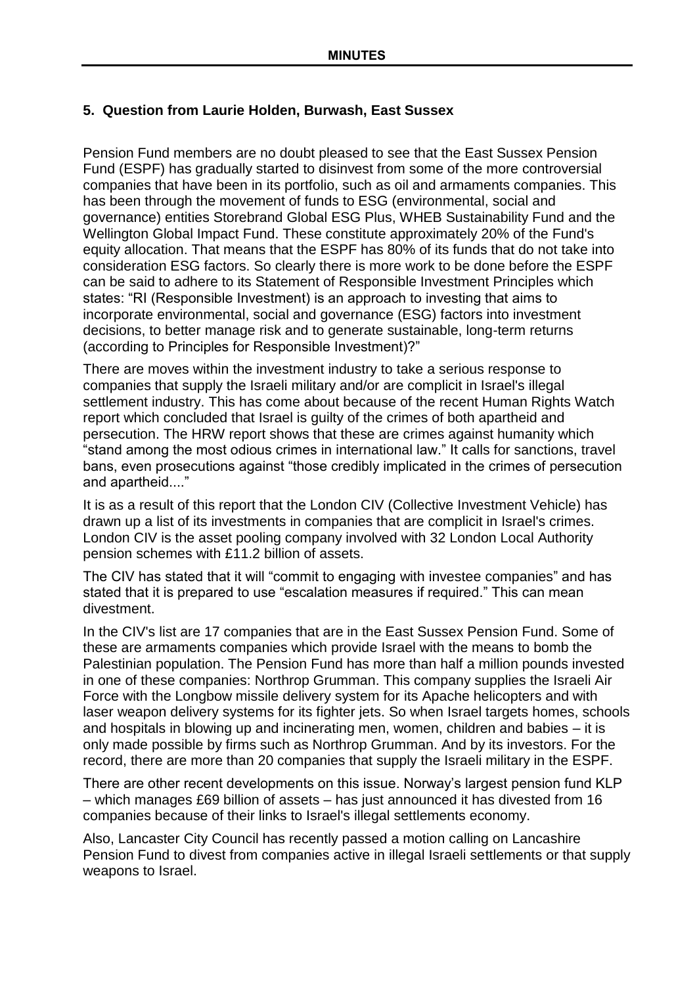# **5. Question from Laurie Holden, Burwash, East Sussex**

Pension Fund members are no doubt pleased to see that the East Sussex Pension Fund (ESPF) has gradually started to disinvest from some of the more controversial companies that have been in its portfolio, such as oil and armaments companies. This has been through the movement of funds to ESG (environmental, social and governance) entities Storebrand Global ESG Plus, WHEB Sustainability Fund and the Wellington Global Impact Fund. These constitute approximately 20% of the Fund's equity allocation. That means that the ESPF has 80% of its funds that do not take into consideration ESG factors. So clearly there is more work to be done before the ESPF can be said to adhere to its Statement of Responsible Investment Principles which states: "RI (Responsible Investment) is an approach to investing that aims to incorporate environmental, social and governance (ESG) factors into investment decisions, to better manage risk and to generate sustainable, long-term returns (according to Principles for Responsible Investment)?"

There are moves within the investment industry to take a serious response to companies that supply the Israeli military and/or are complicit in Israel's illegal settlement industry. This has come about because of the recent Human Rights Watch report which concluded that Israel is guilty of the crimes of both apartheid and persecution. The HRW report shows that these are crimes against humanity which "stand among the most odious crimes in international law." It calls for sanctions, travel bans, even prosecutions against "those credibly implicated in the crimes of persecution and apartheid...."

It is as a result of this report that the London CIV (Collective Investment Vehicle) has drawn up a list of its investments in companies that are complicit in Israel's crimes. London CIV is the asset pooling company involved with 32 London Local Authority pension schemes with £11.2 billion of assets.

The CIV has stated that it will "commit to engaging with investee companies" and has stated that it is prepared to use "escalation measures if required." This can mean divestment.

In the CIV's list are 17 companies that are in the East Sussex Pension Fund. Some of these are armaments companies which provide Israel with the means to bomb the Palestinian population. The Pension Fund has more than half a million pounds invested in one of these companies: Northrop Grumman. This company supplies the Israeli Air Force with the Longbow missile delivery system for its Apache helicopters and with laser weapon delivery systems for its fighter jets. So when Israel targets homes, schools and hospitals in blowing up and incinerating men, women, children and babies – it is only made possible by firms such as Northrop Grumman. And by its investors. For the record, there are more than 20 companies that supply the Israeli military in the ESPF.

There are other recent developments on this issue. Norway's largest pension fund KLP – which manages £69 billion of assets – has just announced it has divested from 16 companies because of their links to Israel's illegal settlements economy.

Also, Lancaster City Council has recently passed a motion calling on Lancashire Pension Fund to divest from companies active in illegal Israeli settlements or that supply weapons to Israel.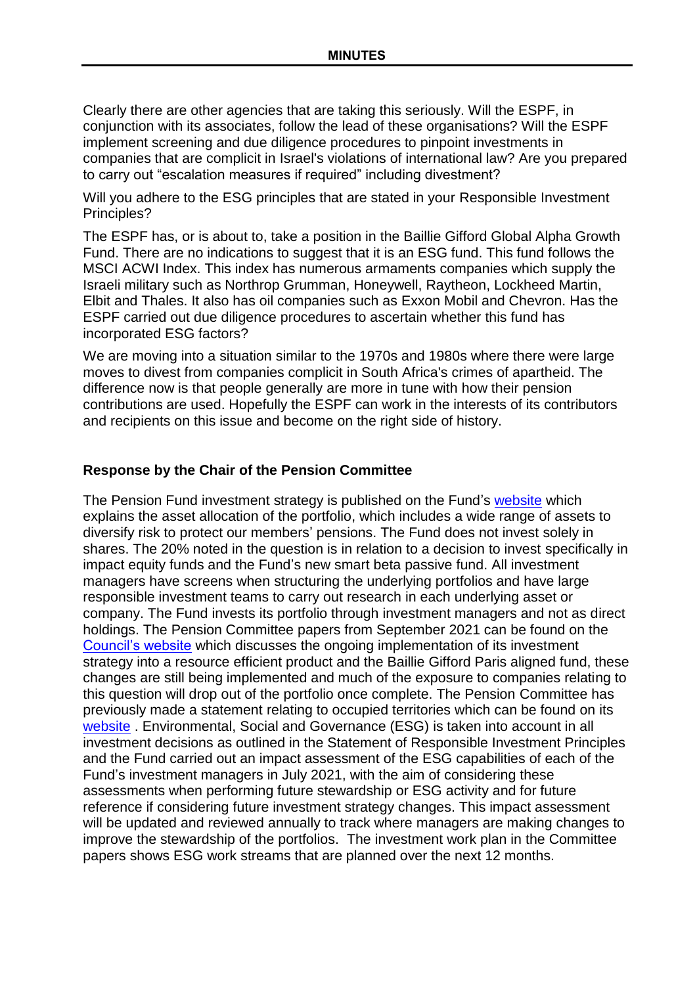Clearly there are other agencies that are taking this seriously. Will the ESPF, in conjunction with its associates, follow the lead of these organisations? Will the ESPF implement screening and due diligence procedures to pinpoint investments in companies that are complicit in Israel's violations of international law? Are you prepared to carry out "escalation measures if required" including divestment?

Will you adhere to the ESG principles that are stated in your Responsible Investment Principles?

The ESPF has, or is about to, take a position in the Baillie Gifford Global Alpha Growth Fund. There are no indications to suggest that it is an ESG fund. This fund follows the MSCI ACWI Index. This index has numerous armaments companies which supply the Israeli military such as Northrop Grumman, Honeywell, Raytheon, Lockheed Martin, Elbit and Thales. It also has oil companies such as Exxon Mobil and Chevron. Has the ESPF carried out due diligence procedures to ascertain whether this fund has incorporated ESG factors?

We are moving into a situation similar to the 1970s and 1980s where there were large moves to divest from companies complicit in South Africa's crimes of apartheid. The difference now is that people generally are more in tune with how their pension contributions are used. Hopefully the ESPF can work in the interests of its contributors and recipients on this issue and become on the right side of history.

### **Response by the Chair of the Pension Committee**

The Pension Fund investment strategy is published on the Fund's [website](https://www.eastsussexpensionfund.org/media/miubcnlh/investment-strategy-statement-2021.docx) which explains the asset allocation of the portfolio, which includes a wide range of assets to diversify risk to protect our members' pensions. The Fund does not invest solely in shares. The 20% noted in the question is in relation to a decision to invest specifically in impact equity funds and the Fund's new smart beta passive fund. All investment managers have screens when structuring the underlying portfolios and have large responsible investment teams to carry out research in each underlying asset or company. The Fund invests its portfolio through investment managers and not as direct holdings. The Pension Committee papers from September 2021 can be found on the [Council's website](https://democracy.eastsussex.gov.uk/ieListDocuments.aspx?CId=373&MId=4900&Ver=4) which discusses the ongoing implementation of its investment strategy into a resource efficient product and the Baillie Gifford Paris aligned fund, these changes are still being implemented and much of the exposure to companies relating to this question will drop out of the portfolio once complete. The Pension Committee has previously made a statement relating to occupied territories which can be found on its [website](https://www.eastsussexpensionfund.org/about-the-scheme/investment/east-sussex-pension-fund-statement-on-israel-and-the-occupied-territories/) . Environmental, Social and Governance (ESG) is taken into account in all investment decisions as outlined in the Statement of Responsible Investment Principles and the Fund carried out an impact assessment of the ESG capabilities of each of the Fund's investment managers in July 2021, with the aim of considering these assessments when performing future stewardship or ESG activity and for future reference if considering future investment strategy changes. This impact assessment will be updated and reviewed annually to track where managers are making changes to improve the stewardship of the portfolios. The investment work plan in the Committee papers shows ESG work streams that are planned over the next 12 months.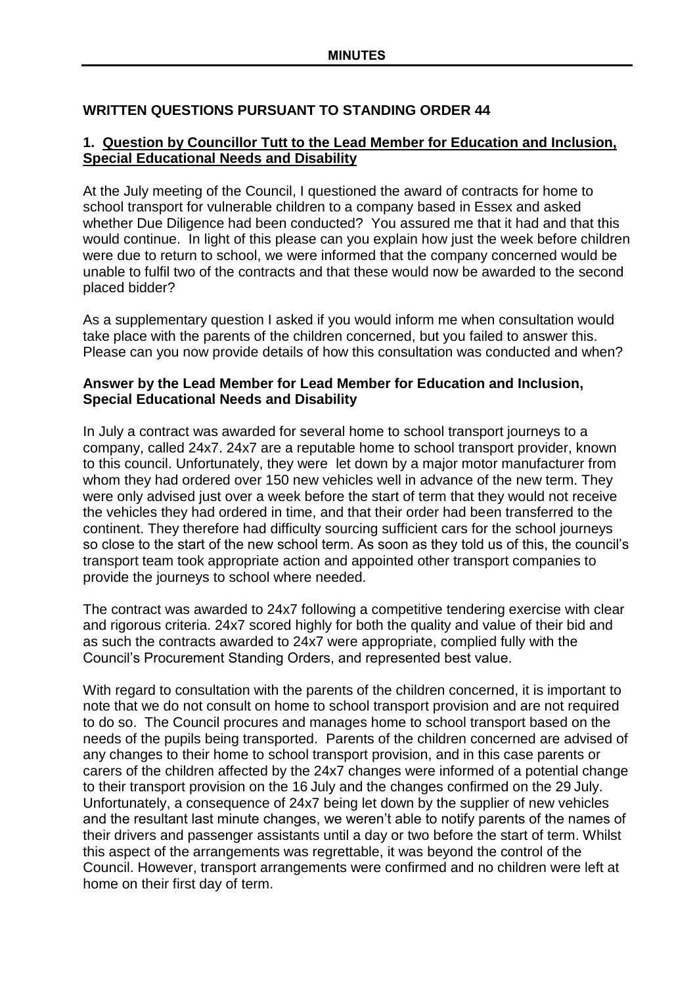# **WRITTEN QUESTIONS PURSUANT TO STANDING ORDER 44**

## **1. Question by Councillor Tutt to the Lead Member for Education and Inclusion, Special Educational Needs and Disability**

At the July meeting of the Council, I questioned the award of contracts for home to school transport for vulnerable children to a company based in Essex and asked whether Due Diligence had been conducted? You assured me that it had and that this would continue. In light of this please can you explain how just the week before children were due to return to school, we were informed that the company concerned would be unable to fulfil two of the contracts and that these would now be awarded to the second placed bidder?

As a supplementary question I asked if you would inform me when consultation would take place with the parents of the children concerned, but you failed to answer this. Please can you now provide details of how this consultation was conducted and when?

# **Answer by the Lead Member for Lead Member for Education and Inclusion, Special Educational Needs and Disability**

In July a contract was awarded for several home to school transport journeys to a company, called 24x7. 24x7 are a reputable home to school transport provider, known to this council. Unfortunately, they were let down by a major motor manufacturer from whom they had ordered over 150 new vehicles well in advance of the new term. They were only advised just over a week before the start of term that they would not receive the vehicles they had ordered in time, and that their order had been transferred to the continent. They therefore had difficulty sourcing sufficient cars for the school journeys so close to the start of the new school term. As soon as they told us of this, the council's transport team took appropriate action and appointed other transport companies to provide the journeys to school where needed.

The contract was awarded to 24x7 following a competitive tendering exercise with clear and rigorous criteria. 24x7 scored highly for both the quality and value of their bid and as such the contracts awarded to 24x7 were appropriate, complied fully with the Council's Procurement Standing Orders, and represented best value.

With regard to consultation with the parents of the children concerned, it is important to note that we do not consult on home to school transport provision and are not required to do so. The Council procures and manages home to school transport based on the needs of the pupils being transported. Parents of the children concerned are advised of any changes to their home to school transport provision, and in this case parents or carers of the children affected by the 24x7 changes were informed of a potential change to their transport provision on the 16 July and the changes confirmed on the 29 July. Unfortunately, a consequence of 24x7 being let down by the supplier of new vehicles and the resultant last minute changes, we weren't able to notify parents of the names of their drivers and passenger assistants until a day or two before the start of term. Whilst this aspect of the arrangements was regrettable, it was beyond the control of the Council. However, transport arrangements were confirmed and no children were left at home on their first day of term.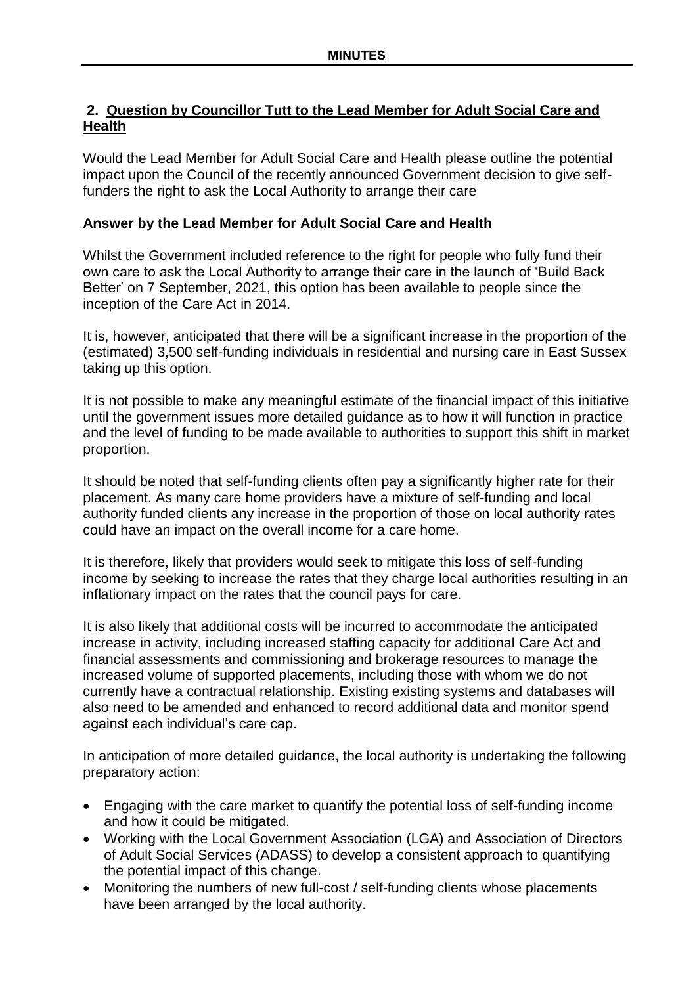# **2. Question by Councillor Tutt to the Lead Member for Adult Social Care and Health**

Would the Lead Member for Adult Social Care and Health please outline the potential impact upon the Council of the recently announced Government decision to give selffunders the right to ask the Local Authority to arrange their care

# **Answer by the Lead Member for Adult Social Care and Health**

Whilst the Government included reference to the right for people who fully fund their own care to ask the Local Authority to arrange their care in the launch of 'Build Back Better' on 7 September, 2021, this option has been available to people since the inception of the Care Act in 2014.

It is, however, anticipated that there will be a significant increase in the proportion of the (estimated) 3,500 self-funding individuals in residential and nursing care in East Sussex taking up this option.

It is not possible to make any meaningful estimate of the financial impact of this initiative until the government issues more detailed guidance as to how it will function in practice and the level of funding to be made available to authorities to support this shift in market proportion.

It should be noted that self-funding clients often pay a significantly higher rate for their placement. As many care home providers have a mixture of self-funding and local authority funded clients any increase in the proportion of those on local authority rates could have an impact on the overall income for a care home.

It is therefore, likely that providers would seek to mitigate this loss of self-funding income by seeking to increase the rates that they charge local authorities resulting in an inflationary impact on the rates that the council pays for care.

It is also likely that additional costs will be incurred to accommodate the anticipated increase in activity, including increased staffing capacity for additional Care Act and financial assessments and commissioning and brokerage resources to manage the increased volume of supported placements, including those with whom we do not currently have a contractual relationship. Existing existing systems and databases will also need to be amended and enhanced to record additional data and monitor spend against each individual's care cap.

In anticipation of more detailed guidance, the local authority is undertaking the following preparatory action:

- Engaging with the care market to quantify the potential loss of self-funding income and how it could be mitigated.
- Working with the Local Government Association (LGA) and Association of Directors of Adult Social Services (ADASS) to develop a consistent approach to quantifying the potential impact of this change.
- Monitoring the numbers of new full-cost / self-funding clients whose placements have been arranged by the local authority.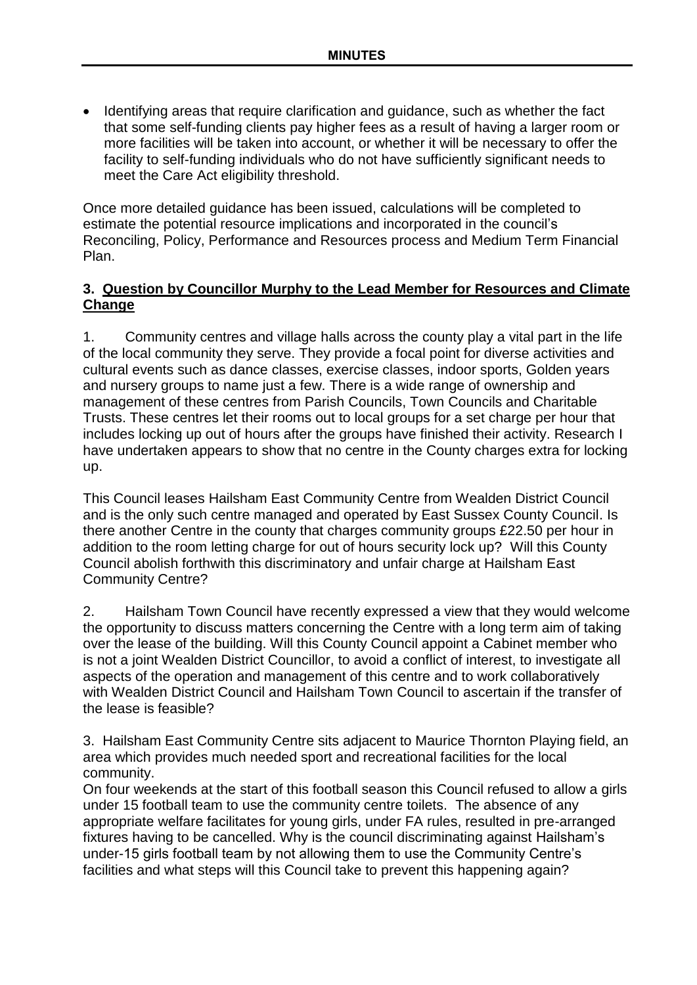• Identifying areas that require clarification and quidance, such as whether the fact that some self-funding clients pay higher fees as a result of having a larger room or more facilities will be taken into account, or whether it will be necessary to offer the facility to self-funding individuals who do not have sufficiently significant needs to meet the Care Act eligibility threshold.

Once more detailed guidance has been issued, calculations will be completed to estimate the potential resource implications and incorporated in the council's Reconciling, Policy, Performance and Resources process and Medium Term Financial Plan.

### **3. Question by Councillor Murphy to the Lead Member for Resources and Climate Change**

1. Community centres and village halls across the county play a vital part in the life of the local community they serve. They provide a focal point for diverse activities and cultural events such as dance classes, exercise classes, indoor sports, Golden years and nursery groups to name just a few. There is a wide range of ownership and management of these centres from Parish Councils, Town Councils and Charitable Trusts. These centres let their rooms out to local groups for a set charge per hour that includes locking up out of hours after the groups have finished their activity. Research I have undertaken appears to show that no centre in the County charges extra for locking up.

This Council leases Hailsham East Community Centre from Wealden District Council and is the only such centre managed and operated by East Sussex County Council. Is there another Centre in the county that charges community groups £22.50 per hour in addition to the room letting charge for out of hours security lock up? Will this County Council abolish forthwith this discriminatory and unfair charge at Hailsham East Community Centre?

2. Hailsham Town Council have recently expressed a view that they would welcome the opportunity to discuss matters concerning the Centre with a long term aim of taking over the lease of the building. Will this County Council appoint a Cabinet member who is not a joint Wealden District Councillor, to avoid a conflict of interest, to investigate all aspects of the operation and management of this centre and to work collaboratively with Wealden District Council and Hailsham Town Council to ascertain if the transfer of the lease is feasible?

3. Hailsham East Community Centre sits adjacent to Maurice Thornton Playing field, an area which provides much needed sport and recreational facilities for the local community.

On four weekends at the start of this football season this Council refused to allow a girls under 15 football team to use the community centre toilets. The absence of any appropriate welfare facilitates for young girls, under FA rules, resulted in pre-arranged fixtures having to be cancelled. Why is the council discriminating against Hailsham's under-15 girls football team by not allowing them to use the Community Centre's facilities and what steps will this Council take to prevent this happening again?